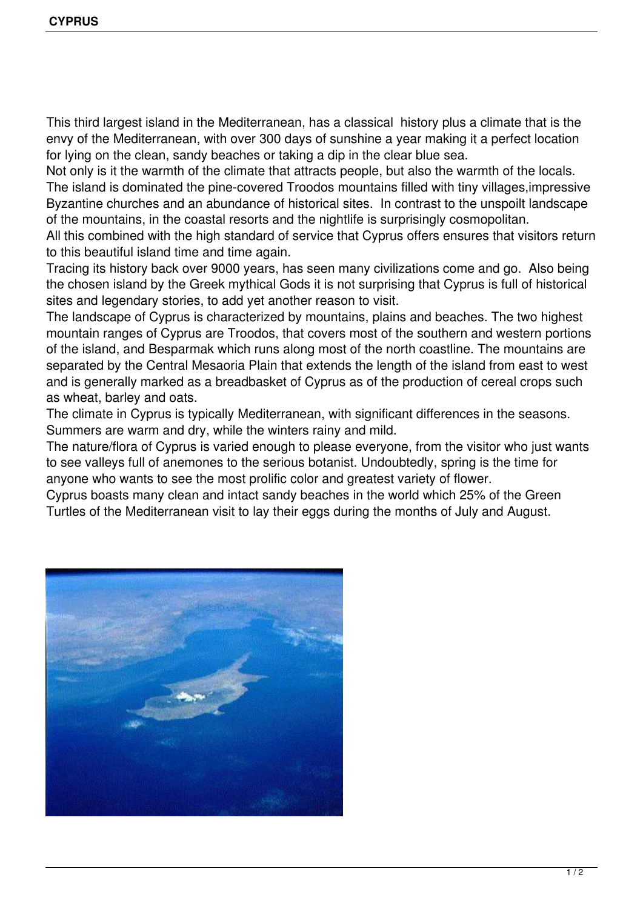This third largest island in the Mediterranean, has a classical history plus a climate that is the envy of the Mediterranean, with over 300 days of sunshine a year making it a perfect location for lying on the clean, sandy beaches or taking a dip in the clear blue sea.

Not only is it the warmth of the climate that attracts people, but also the warmth of the locals. The island is dominated the pine-covered Troodos mountains filled with tiny villages,impressive Byzantine churches and an abundance of historical sites. In contrast to the unspoilt landscape of the mountains, in the coastal resorts and the nightlife is surprisingly cosmopolitan.

All this combined with the high standard of service that Cyprus offers ensures that visitors return to this beautiful island time and time again.

Tracing its history back over 9000 years, has seen many civilizations come and go. Also being the chosen island by the Greek mythical Gods it is not surprising that Cyprus is full of historical sites and legendary stories, to add yet another reason to visit.

The landscape of Cyprus is characterized by mountains, plains and beaches. The two highest mountain ranges of Cyprus are Troodos, that covers most of the southern and western portions of the island, and Besparmak which runs along most of the north coastline. The mountains are separated by the Central Mesaoria Plain that extends the length of the island from east to west and is generally marked as a breadbasket of Cyprus as of the production of cereal crops such as wheat, barley and oats.

The climate in Cyprus is typically Mediterranean, with significant differences in the seasons. Summers are warm and dry, while the winters rainy and mild.

The nature/flora of Cyprus is varied enough to please everyone, from the visitor who just wants to see valleys full of anemones to the serious botanist. Undoubtedly, spring is the time for anyone who wants to see the most prolific color and greatest variety of flower.

Cyprus boasts many clean and intact sandy beaches in the world which 25% of the Green Turtles of the Mediterranean visit to lay their eggs during the months of July and August.